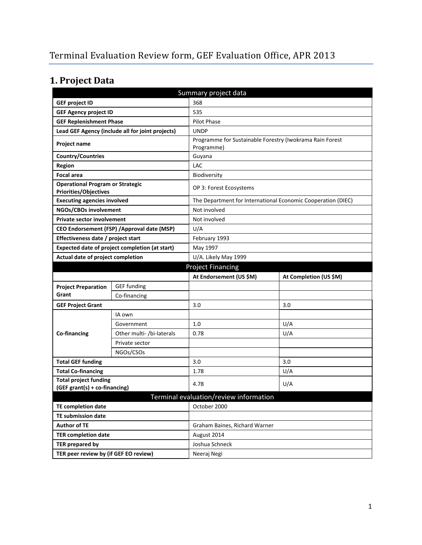# **1. Project Data**

|                                                                         | Summary project data                             |                                                          |                                                              |  |  |
|-------------------------------------------------------------------------|--------------------------------------------------|----------------------------------------------------------|--------------------------------------------------------------|--|--|
| <b>GEF project ID</b>                                                   |                                                  | 368                                                      |                                                              |  |  |
| <b>GEF Agency project ID</b>                                            |                                                  | 535                                                      |                                                              |  |  |
| <b>GEF Replenishment Phase</b>                                          |                                                  | Pilot Phase                                              |                                                              |  |  |
|                                                                         | Lead GEF Agency (include all for joint projects) | <b>UNDP</b>                                              |                                                              |  |  |
| Project name                                                            |                                                  | Programme for Sustainable Forestry (Iwokrama Rain Forest |                                                              |  |  |
|                                                                         |                                                  | Programme)                                               |                                                              |  |  |
| <b>Country/Countries</b>                                                |                                                  | Guyana                                                   |                                                              |  |  |
| <b>Region</b>                                                           |                                                  | <b>LAC</b>                                               |                                                              |  |  |
| <b>Focal area</b>                                                       |                                                  | Biodiversity                                             |                                                              |  |  |
| <b>Operational Program or Strategic</b><br><b>Priorities/Objectives</b> |                                                  | OP 3: Forest Ecosystems                                  |                                                              |  |  |
| <b>Executing agencies involved</b>                                      |                                                  |                                                          | The Department for International Economic Cooperation (DIEC) |  |  |
| NGOs/CBOs involvement                                                   |                                                  | Not involved                                             |                                                              |  |  |
| <b>Private sector involvement</b>                                       |                                                  | Not involved                                             |                                                              |  |  |
| CEO Endorsement (FSP) / Approval date (MSP)                             |                                                  | U/A                                                      |                                                              |  |  |
| Effectiveness date / project start                                      |                                                  | February 1993                                            |                                                              |  |  |
| Expected date of project completion (at start)                          |                                                  | May 1997                                                 |                                                              |  |  |
| Actual date of project completion                                       |                                                  | U/A. Likely May 1999                                     |                                                              |  |  |
| <b>Project Financing</b>                                                |                                                  |                                                          |                                                              |  |  |
|                                                                         |                                                  | At Endorsement (US \$M)                                  | At Completion (US \$M)                                       |  |  |
| <b>Project Preparation</b>                                              | <b>GEF</b> funding                               |                                                          |                                                              |  |  |
| Grant                                                                   | Co-financing                                     |                                                          |                                                              |  |  |
| <b>GEF Project Grant</b>                                                |                                                  | 3.0                                                      | 3.0                                                          |  |  |
|                                                                         | IA own                                           |                                                          |                                                              |  |  |
|                                                                         | Government                                       | 1.0                                                      | U/A                                                          |  |  |
| Co-financing                                                            | Other multi- /bi-laterals                        | 0.78                                                     | U/A                                                          |  |  |
|                                                                         | Private sector                                   |                                                          |                                                              |  |  |
|                                                                         | NGOs/CSOs                                        |                                                          |                                                              |  |  |
| <b>Total GEF funding</b>                                                |                                                  | 3.0                                                      | 3.0                                                          |  |  |
| <b>Total Co-financing</b>                                               |                                                  | 1.78                                                     | U/A                                                          |  |  |
| <b>Total project funding</b>                                            |                                                  | 4.78                                                     | U/A                                                          |  |  |
| (GEF grant(s) + co-financing)                                           |                                                  |                                                          |                                                              |  |  |
|                                                                         |                                                  | Terminal evaluation/review information                   |                                                              |  |  |
| <b>TE completion date</b>                                               |                                                  | October 2000                                             |                                                              |  |  |
| <b>TE submission date</b>                                               |                                                  |                                                          |                                                              |  |  |
| <b>Author of TE</b>                                                     |                                                  | Graham Baines, Richard Warner                            |                                                              |  |  |
| <b>TER completion date</b>                                              |                                                  | August 2014                                              |                                                              |  |  |
| <b>TER prepared by</b>                                                  |                                                  | Joshua Schneck                                           |                                                              |  |  |
| TER peer review by (if GEF EO review)                                   |                                                  | Neeraj Negi                                              |                                                              |  |  |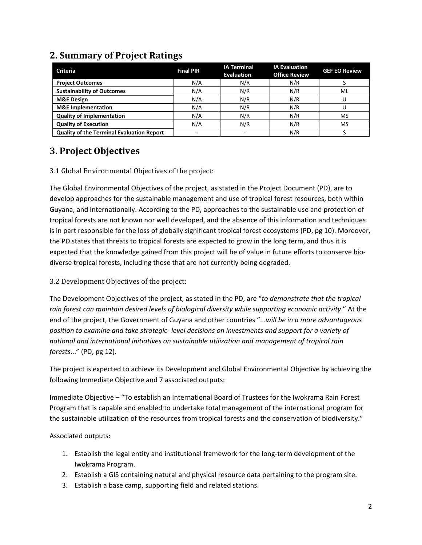| <b>Criteria</b>                                  | <b>Final PIR</b> | <b>IA Terminal</b><br><b>Evaluation</b> | <b>IA Evaluation</b><br><b>Office Review</b> | <b>GEF EO Review</b> |
|--------------------------------------------------|------------------|-----------------------------------------|----------------------------------------------|----------------------|
| <b>Project Outcomes</b>                          | N/A              | N/R                                     | N/R                                          |                      |
| <b>Sustainability of Outcomes</b>                | N/A              | N/R                                     | N/R                                          | ML                   |
| <b>M&amp;E Design</b>                            | N/A              | N/R                                     | N/R                                          |                      |
| <b>M&amp;E</b> Implementation                    | N/A              | N/R                                     | N/R                                          |                      |
| <b>Quality of Implementation</b>                 | N/A              | N/R                                     | N/R                                          | MS                   |
| <b>Quality of Execution</b>                      | N/A              | N/R                                     | N/R                                          | MS                   |
| <b>Quality of the Terminal Evaluation Report</b> |                  |                                         | N/R                                          |                      |

# **2. Summary of Project Ratings**

### **3. Project Objectives**

#### 3.1 Global Environmental Objectives of the project:

The Global Environmental Objectives of the project, as stated in the Project Document (PD), are to develop approaches for the sustainable management and use of tropical forest resources, both within Guyana, and internationally. According to the PD, approaches to the sustainable use and protection of tropical forests are not known nor well developed, and the absence of this information and techniques is in part responsible for the loss of globally significant tropical forest ecosystems (PD, pg 10). Moreover, the PD states that threats to tropical forests are expected to grow in the long term, and thus it is expected that the knowledge gained from this project will be of value in future efforts to conserve biodiverse tropical forests, including those that are not currently being degraded.

3.2 Development Objectives of the project:

The Development Objectives of the project, as stated in the PD, are "*to demonstrate that the tropical rain forest can maintain desired levels of biological diversity while supporting economic activity*." At the end of the project, the Government of Guyana and other countries "...*will be in a more advantageous position to examine and take strategic- level decisions on investments and support for a variety of national and international initiatives on sustainable utilization and management of tropical rain forests*..." (PD, pg 12).

The project is expected to achieve its Development and Global Environmental Objective by achieving the following Immediate Objective and 7 associated outputs:

Immediate Objective – "To establish an International Board of Trustees for the Iwokrama Rain Forest Program that is capable and enabled to undertake total management of the international program for the sustainable utilization of the resources from tropical forests and the conservation of biodiversity."

Associated outputs:

- 1. Establish the legal entity and institutional framework for the long-term development of the Iwokrama Program.
- 2. Establish a GIS containing natural and physical resource data pertaining to the program site.
- 3. Establish a base camp, supporting field and related stations.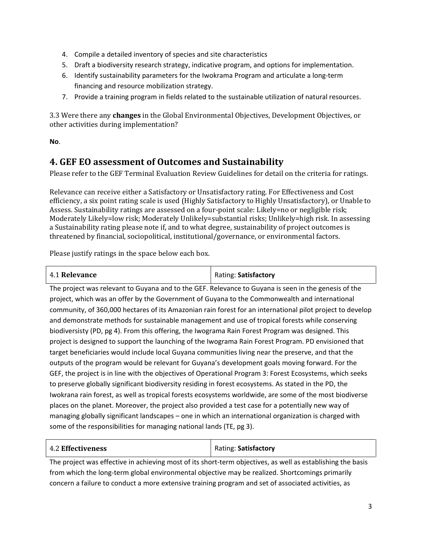- 4. Compile a detailed inventory of species and site characteristics
- 5. Draft a biodiversity research strategy, indicative program, and options for implementation.
- 6. Identify sustainability parameters for the Iwokrama Program and articulate a long-term financing and resource mobilization strategy.
- 7. Provide a training program in fields related to the sustainable utilization of natural resources.

3.3 Were there any **changes** in the Global Environmental Objectives, Development Objectives, or other activities during implementation?

**No**.

#### **4. GEF EO assessment of Outcomes and Sustainability**

Please refer to the GEF Terminal Evaluation Review Guidelines for detail on the criteria for ratings.

Relevance can receive either a Satisfactory or Unsatisfactory rating. For Effectiveness and Cost efficiency, a six point rating scale is used (Highly Satisfactory to Highly Unsatisfactory), or Unable to Assess. Sustainability ratings are assessed on a four-point scale: Likely=no or negligible risk; Moderately Likely=low risk; Moderately Unlikely=substantial risks; Unlikely=high risk. In assessing a Sustainability rating please note if, and to what degree, sustainability of project outcomes is threatened by financial, sociopolitical, institutional/governance, or environmental factors.

Please justify ratings in the space below each box.

| 4.1 Relevance | Rating: Satisfactory |
|---------------|----------------------|
|---------------|----------------------|

The project was relevant to Guyana and to the GEF. Relevance to Guyana is seen in the genesis of the project, which was an offer by the Government of Guyana to the Commonwealth and international community, of 360,000 hectares of its Amazonian rain forest for an international pilot project to develop and demonstrate methods for sustainable management and use of tropical forests while conserving biodiversisty (PD, pg 4). From this offering, the Iwograma Rain Forest Program was designed. This project is designed to support the launching of the Iwograma Rain Forest Program. PD envisioned that target beneficiaries would include local Guyana communities living near the preserve, and that the outputs of the program would be relevant for Guyana's development goals moving forward. For the GEF, the project is in line with the objectives of Operational Program 3: Forest Ecosystems, which seeks to preserve globally significant biodiversity residing in forest ecosystems. As stated in the PD, the Iwokrana rain forest, as well as tropical forests ecosystems worldwide, are some of the most biodiverse places on the planet. Moreover, the project also provided a test case for a potentially new way of managing globally significant landscapes – one in which an international organization is charged with some of the responsibilities for managing national lands (TE, pg 3).

| <b>4.2 Effectiveness</b> | Rating: Satisfactory |
|--------------------------|----------------------|
|--------------------------|----------------------|

The project was effective in achieving most of its short-term objectives, as well as establishing the basis from which the long-term global environmental objective may be realized. Shortcomings primarily concern a failure to conduct a more extensive training program and set of associated activities, as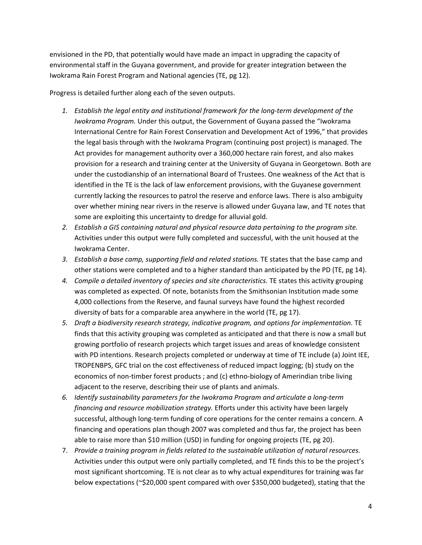envisioned in the PD, that potentially would have made an impact in upgrading the capacity of environmental staff in the Guyana government, and provide for greater integration between the Iwokrama Rain Forest Program and National agencies (TE, pg 12).

Progress is detailed further along each of the seven outputs.

- *1. Establish the legal entity and institutional framework for the long-term development of the Iwokrama Program.* Under this output, the Government of Guyana passed the "Iwokrama International Centre for Rain Forest Conservation and Development Act of 1996," that provides the legal basis through with the Iwokrama Program (continuing post project) is managed. The Act provides for management authority over a 360,000 hectare rain forest, and also makes provision for a research and training center at the University of Guyana in Georgetown. Both are under the custodianship of an international Board of Trustees. One weakness of the Act that is identified in the TE is the lack of law enforcement provisions, with the Guyanese government currently lacking the resources to patrol the reserve and enforce laws. There is also ambiguity over whether mining near rivers in the reserve is allowed under Guyana law, and TE notes that some are exploiting this uncertainty to dredge for alluvial gold.
- *2. Establish a GIS containing natural and physical resource data pertaining to the program site.* Activities under this output were fully completed and successful, with the unit housed at the Iwokrama Center.
- *3. Establish a base camp, supporting field and related stations.* TE states that the base camp and other stations were completed and to a higher standard than anticipated by the PD (TE, pg 14).
- *4. Compile a detailed inventory of species and site characteristics.* TE states this activity grouping was completed as expected. Of note, botanists from the Smithsonian Institution made some 4,000 collections from the Reserve, and faunal surveys have found the highest recorded diversity of bats for a comparable area anywhere in the world (TE, pg 17).
- *5. Draft a biodiversity research strategy, indicative program, and options for implementation.* TE finds that this activity grouping was completed as anticipated and that there is now a small but growing portfolio of research projects which target issues and areas of knowledge consistent with PD intentions. Research projects completed or underway at time of TE include (a) Joint IEE, TROPENBPS, GFC trial on the cost effectiveness of reduced impact logging; (b) study on the economics of non-timber forest products ; and (c) ethno-biology of Amerindian tribe living adjacent to the reserve, describing their use of plants and animals.
- *6. Identify sustainability parameters for the Iwokrama Program and articulate a long-term financing and resource mobilization strategy.* Efforts under this activity have been largely successful, although long-term funding of core operations for the center remains a concern. A financing and operations plan though 2007 was completed and thus far, the project has been able to raise more than \$10 million (USD) in funding for ongoing projects (TE, pg 20).
- 7. *Provide a training program in fields related to the sustainable utilization of natural resources.* Activities under this output were only partially completed, and TE finds this to be the project's most significant shortcoming. TE is not clear as to why actual expenditures for training was far below expectations (~\$20,000 spent compared with over \$350,000 budgeted), stating that the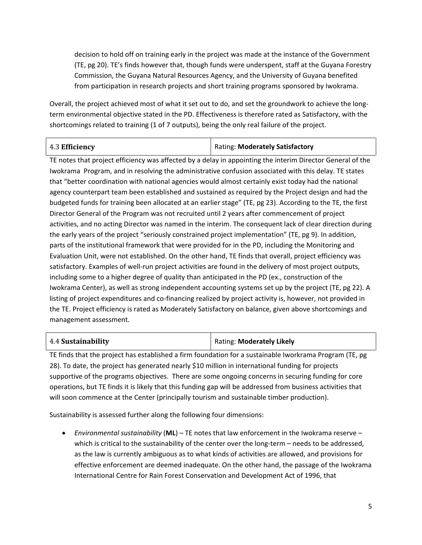decision to hold off on training early in the project was made at the instance of the Government (TE, pg 20). TE's finds however that, though funds were underspent, staff at the Guyana Forestry Commission, the Guyana Natural Resources Agency, and the University of Guyana benefited from participation in research projects and short training programs sponsored by Iwokrama.

Overall, the project achieved most of what it set out to do, and set the groundwork to achieve the longterm environmental objective stated in the PD. Effectiveness is therefore rated as Satisfactory, with the shortcomings related to training (1 of 7 outputs), being the only real failure of the project.

| 4.3 Efficiency | <b>Rating: Moderately Satisfactory</b> |
|----------------|----------------------------------------|
|----------------|----------------------------------------|

TE notes that project efficiency was affected by a delay in appointing the interim Director General of the Iwokrama Program, and in resolving the administrative confusion associated with this delay. TE states that "better coordination with national agencies would almost certainly exist today had the national agency counterpart team been established and sustained as required by the Project design and had the budgeted funds for training been allocated at an earlier stage" (TE, pg 23). According to the TE, the first Director General of the Program was not recruited until 2 years after commencement of project activities, and no acting Director was named in the interim. The consequent lack of clear direction during the early years of the project "seriously constrained project implementation" (TE, pg 9). In addition, parts of the institutional framework that were provided for in the PD, including the Monitoring and Evaluation Unit, were not established. On the other hand, TE finds that overall, project efficiency was satisfactory. Examples of well-run project activities are found in the delivery of most project outputs, including some to a higher degree of quality than anticipated in the PD (ex., construction of the Iwokrama Center), as well as strong independent accounting systems set up by the project (TE, pg 22). A listing of project expenditures and co-financing realized by project activity is, however, not provided in the TE. Project efficiency is rated as Moderately Satisfactory on balance, given above shortcomings and management assessment.

| 4.4 Sustainability | Rating: Moderately Likely |
|--------------------|---------------------------|
|--------------------|---------------------------|

TE finds that the project has established a firm foundation for a sustainable Iworkrama Program (TE, pg 28). To date, the project has generated nearly \$10 million in international funding for projects supportive of the programs objectives. There are some ongoing concerns in securing funding for core operations, but TE finds it is likely that this funding gap will be addressed from business activities that will soon commence at the Center (principally tourism and sustainable timber production).

Sustainability is assessed further along the following four dimensions:

• *Environmental sustainability* (**ML**) – TE notes that law enforcement in the Iwokrama reserve – which is critical to the sustainability of the center over the long-term - needs to be addressed, as the law is currently ambiguous as to what kinds of activities are allowed, and provisions for effective enforcement are deemed inadequate. On the other hand, the passage of the Iwokrama International Centre for Rain Forest Conservation and Development Act of 1996, that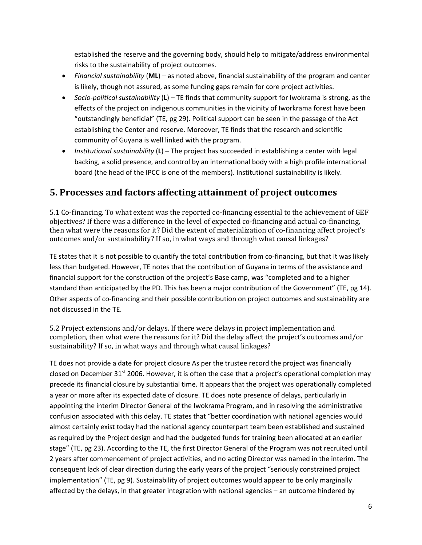established the reserve and the governing body, should help to mitigate/address environmental risks to the sustainability of project outcomes.

- *Financial sustainability* (**ML**) as noted above, financial sustainability of the program and center is likely, though not assured, as some funding gaps remain for core project activities.
- *Socio-political sustainability* (**L**) TE finds that community support for Iwokrama is strong, as the effects of the project on indigenous communities in the vicinity of Iworkrama forest have been "outstandingly beneficial" (TE, pg 29). Political support can be seen in the passage of the Act establishing the Center and reserve. Moreover, TE finds that the research and scientific community of Guyana is well linked with the program.
- *Institutional sustainability* (**L**) The project has succeeded in establishing a center with legal backing, a solid presence, and control by an international body with a high profile international board (the head of the IPCC is one of the members). Institutional sustainability is likely.

### **5. Processes and factors affecting attainment of project outcomes**

5.1 Co-financing. To what extent was the reported co-financing essential to the achievement of GEF objectives? If there was a difference in the level of expected co-financing and actual co-financing, then what were the reasons for it? Did the extent of materialization of co-financing affect project's outcomes and/or sustainability? If so, in what ways and through what causal linkages?

TE states that it is not possible to quantify the total contribution from co-financing, but that it was likely less than budgeted. However, TE notes that the contribution of Guyana in terms of the assistance and financial support for the construction of the project's Base camp, was "completed and to a higher standard than anticipated by the PD. This has been a major contribution of the Government" (TE, pg 14). Other aspects of co-financing and their possible contribution on project outcomes and sustainability are not discussed in the TE.

5.2 Project extensions and/or delays. If there were delays in project implementation and completion, then what were the reasons for it? Did the delay affect the project's outcomes and/or sustainability? If so, in what ways and through what causal linkages?

TE does not provide a date for project closure As per the trustee record the project was financially closed on December 31 $\mathrm{^{st}}$  2006. However, it is often the case that a project's operational completion may precede its financial closure by substantial time. It appears that the project was operationally completed a year or more after its expected date of closure. TE does note presence of delays, particularly in appointing the interim Director General of the Iwokrama Program, and in resolving the administrative confusion associated with this delay. TE states that "better coordination with national agencies would almost certainly exist today had the national agency counterpart team been established and sustained as required by the Project design and had the budgeted funds for training been allocated at an earlier stage" (TE, pg 23). According to the TE, the first Director General of the Program was not recruited until 2 years after commencement of project activities, and no acting Director was named in the interim. The consequent lack of clear direction during the early years of the project "seriously constrained project implementation" (TE, pg 9). Sustainability of project outcomes would appear to be only marginally affected by the delays, in that greater integration with national agencies – an outcome hindered by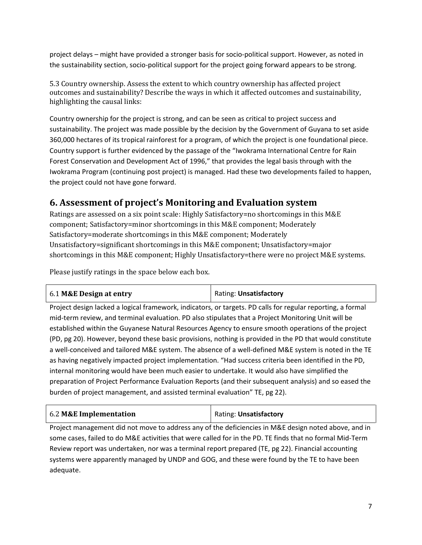project delays – might have provided a stronger basis for socio-political support. However, as noted in the sustainability section, socio-political support for the project going forward appears to be strong.

5.3 Country ownership. Assess the extent to which country ownership has affected project outcomes and sustainability? Describe the ways in which it affected outcomes and sustainability, highlighting the causal links:

Country ownership for the project is strong, and can be seen as critical to project success and sustainability. The project was made possible by the decision by the Government of Guyana to set aside 360,000 hectares of its tropical rainforest for a program, of which the project is one foundational piece. Country support is further evidenced by the passage of the "Iwokrama International Centre for Rain Forest Conservation and Development Act of 1996," that provides the legal basis through with the Iwokrama Program (continuing post project) is managed. Had these two developments failed to happen, the project could not have gone forward.

#### **6. Assessment of project's Monitoring and Evaluation system**

Ratings are assessed on a six point scale: Highly Satisfactory=no shortcomings in this M&E component; Satisfactory=minor shortcomings in this M&E component; Moderately Satisfactory=moderate shortcomings in this M&E component; Moderately Unsatisfactory=significant shortcomings in this M&E component; Unsatisfactory=major shortcomings in this M&E component; Highly Unsatisfactory=there were no project M&E systems.

Please justify ratings in the space below each box.

| Rating: Unsatisfactory |
|------------------------|
|                        |

Project design lacked a logical framework, indicators, or targets. PD calls for regular reporting, a formal mid-term review, and terminal evaluation. PD also stipulates that a Project Monitoring Unit will be established within the Guyanese Natural Resources Agency to ensure smooth operations of the project (PD, pg 20). However, beyond these basic provisions, nothing is provided in the PD that would constitute a well-conceived and tailored M&E system. The absence of a well-defined M&E system is noted in the TE as having negatively impacted project implementation. "Had success criteria been identified in the PD, internal monitoring would have been much easier to undertake. It would also have simplified the preparation of Project Performance Evaluation Reports (and their subsequent analysis) and so eased the burden of project management, and assisted terminal evaluation" TE, pg 22).

| 6.2 M&E Implementation | Rating: Unsatisfactory |
|------------------------|------------------------|
|------------------------|------------------------|

Project management did not move to address any of the deficiencies in M&E design noted above, and in some cases, failed to do M&E activities that were called for in the PD. TE finds that no formal Mid-Term Review report was undertaken, nor was a terminal report prepared (TE, pg 22). Financial accounting systems were apparently managed by UNDP and GOG, and these were found by the TE to have been adequate.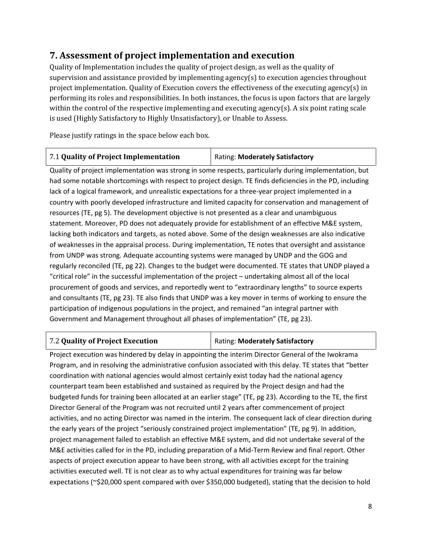# **7. Assessment of project implementation and execution**

Quality of Implementation includes the quality of project design, as well as the quality of supervision and assistance provided by implementing agency(s) to execution agencies throughout project implementation. Quality of Execution covers the effectiveness of the executing agency(s) in performing its roles and responsibilities. In both instances, the focus is upon factors that are largely within the control of the respective implementing and executing agency(s). A six point rating scale is used (Highly Satisfactory to Highly Unsatisfactory), or Unable to Assess.

Please justify ratings in the space below each box.

| 7.1 Quality of Project Implementation | Rating: Moderately Satisfactory |
|---------------------------------------|---------------------------------|
|                                       |                                 |

Quality of project implementation was strong in some respects, particularly during implementation, but had some notable shortcomings with respect to project design. TE finds deficiencies in the PD, including lack of a logical framework, and unrealistic expectations for a three-year project implemented in a country with poorly developed infrastructure and limited capacity for conservation and management of resources (TE, pg 5). The development objective is not presented as a clear and unambiguous statement. Moreover, PD does not adequately provide for establishment of an effective M&E system, lacking both indicators and targets, as noted above. Some of the design weaknesses are also indicative of weaknesses in the appraisal process. During implementation, TE notes that oversight and assistance from UNDP was strong. Adequate accounting systems were managed by UNDP and the GOG and regularly reconciled (TE, pg 22). Changes to the budget were documented. TE states that UNDP played a "critical role" in the successful implementation of the project – undertaking almost all of the local procurement of goods and services, and reportedly went to "extraordinary lengths" to source experts and consultants (TE, pg 23). TE also finds that UNDP was a key mover in terms of working to ensure the participation of indigenous populations in the project, and remained "an integral partner with Government and Management throughout all phases of implementation" (TE, pg 23).

#### 7.2 **Quality of Project Execution** Rating: **Moderately Satisfactory**

Project execution was hindered by delay in appointing the interim Director General of the Iwokrama Program, and in resolving the administrative confusion associated with this delay. TE states that "better coordination with national agencies would almost certainly exist today had the national agency counterpart team been established and sustained as required by the Project design and had the budgeted funds for training been allocated at an earlier stage" (TE, pg 23). According to the TE, the first Director General of the Program was not recruited until 2 years after commencement of project activities, and no acting Director was named in the interim. The consequent lack of clear direction during the early years of the project "seriously constrained project implementation" (TE, pg 9). In addition, project management failed to establish an effective M&E system, and did not undertake several of the M&E activities called for in the PD, including preparation of a Mid-Term Review and final report. Other aspects of project execution appear to have been strong, with all activities except for the training activities executed well. TE is not clear as to why actual expenditures for training was far below expectations (~\$20,000 spent compared with over \$350,000 budgeted), stating that the decision to hold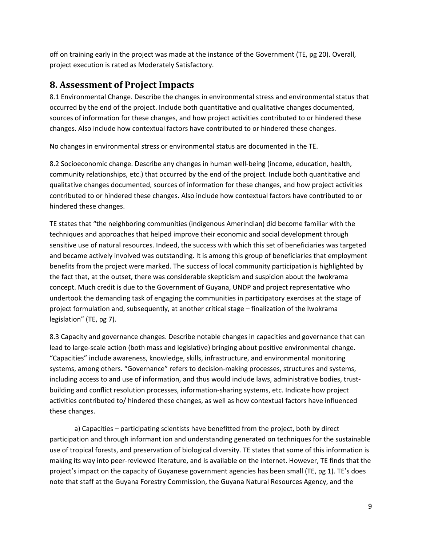off on training early in the project was made at the instance of the Government (TE, pg 20). Overall, project execution is rated as Moderately Satisfactory.

#### **8. Assessment of Project Impacts**

8.1 Environmental Change. Describe the changes in environmental stress and environmental status that occurred by the end of the project. Include both quantitative and qualitative changes documented, sources of information for these changes, and how project activities contributed to or hindered these changes. Also include how contextual factors have contributed to or hindered these changes.

No changes in environmental stress or environmental status are documented in the TE.

8.2 Socioeconomic change. Describe any changes in human well-being (income, education, health, community relationships, etc.) that occurred by the end of the project. Include both quantitative and qualitative changes documented, sources of information for these changes, and how project activities contributed to or hindered these changes. Also include how contextual factors have contributed to or hindered these changes.

TE states that "the neighboring communities (indigenous Amerindian) did become familiar with the techniques and approaches that helped improve their economic and social development through sensitive use of natural resources. Indeed, the success with which this set of beneficiaries was targeted and became actively involved was outstanding. It is among this group of beneficiaries that employment benefits from the project were marked. The success of local community participation is highlighted by the fact that, at the outset, there was considerable skepticism and suspicion about the Iwokrama concept. Much credit is due to the Government of Guyana, UNDP and project representative who undertook the demanding task of engaging the communities in participatory exercises at the stage of project formulation and, subsequently, at another critical stage – finalization of the Iwokrama legislation" (TE, pg 7).

8.3 Capacity and governance changes. Describe notable changes in capacities and governance that can lead to large-scale action (both mass and legislative) bringing about positive environmental change. "Capacities" include awareness, knowledge, skills, infrastructure, and environmental monitoring systems, among others. "Governance" refers to decision-making processes, structures and systems, including access to and use of information, and thus would include laws, administrative bodies, trustbuilding and conflict resolution processes, information-sharing systems, etc. Indicate how project activities contributed to/ hindered these changes, as well as how contextual factors have influenced these changes.

a) Capacities – participating scientists have benefitted from the project, both by direct participation and through informant ion and understanding generated on techniques for the sustainable use of tropical forests, and preservation of biological diversity. TE states that some of this information is making its way into peer-reviewed literature, and is available on the internet. However, TE finds that the project's impact on the capacity of Guyanese government agencies has been small (TE, pg 1). TE's does note that staff at the Guyana Forestry Commission, the Guyana Natural Resources Agency, and the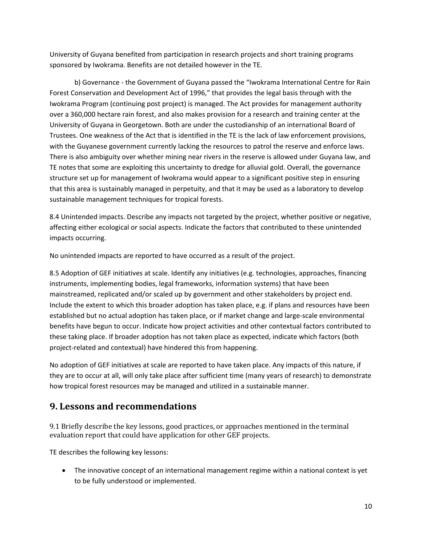University of Guyana benefited from participation in research projects and short training programs sponsored by Iwokrama. Benefits are not detailed however in the TE.

b) Governance - the Government of Guyana passed the "Iwokrama International Centre for Rain Forest Conservation and Development Act of 1996," that provides the legal basis through with the Iwokrama Program (continuing post project) is managed. The Act provides for management authority over a 360,000 hectare rain forest, and also makes provision for a research and training center at the University of Guyana in Georgetown. Both are under the custodianship of an international Board of Trustees. One weakness of the Act that is identified in the TE is the lack of law enforcement provisions, with the Guyanese government currently lacking the resources to patrol the reserve and enforce laws. There is also ambiguity over whether mining near rivers in the reserve is allowed under Guyana law, and TE notes that some are exploiting this uncertainty to dredge for alluvial gold. Overall, the governance structure set up for management of Iwokrama would appear to a significant positive step in ensuring that this area is sustainably managed in perpetuity, and that it may be used as a laboratory to develop sustainable management techniques for tropical forests.

8.4 Unintended impacts. Describe any impacts not targeted by the project, whether positive or negative, affecting either ecological or social aspects. Indicate the factors that contributed to these unintended impacts occurring.

No unintended impacts are reported to have occurred as a result of the project.

8.5 Adoption of GEF initiatives at scale. Identify any initiatives (e.g. technologies, approaches, financing instruments, implementing bodies, legal frameworks, information systems) that have been mainstreamed, replicated and/or scaled up by government and other stakeholders by project end. Include the extent to which this broader adoption has taken place, e.g. if plans and resources have been established but no actual adoption has taken place, or if market change and large-scale environmental benefits have begun to occur. Indicate how project activities and other contextual factors contributed to these taking place. If broader adoption has not taken place as expected, indicate which factors (both project-related and contextual) have hindered this from happening.

No adoption of GEF initiatives at scale are reported to have taken place. Any impacts of this nature, if they are to occur at all, will only take place after sufficient time (many years of research) to demonstrate how tropical forest resources may be managed and utilized in a sustainable manner.

#### **9. Lessons and recommendations**

9.1 Briefly describe the key lessons, good practices, or approaches mentioned in the terminal evaluation report that could have application for other GEF projects.

TE describes the following key lessons:

• The innovative concept of an international management regime within a national context is yet to be fully understood or implemented.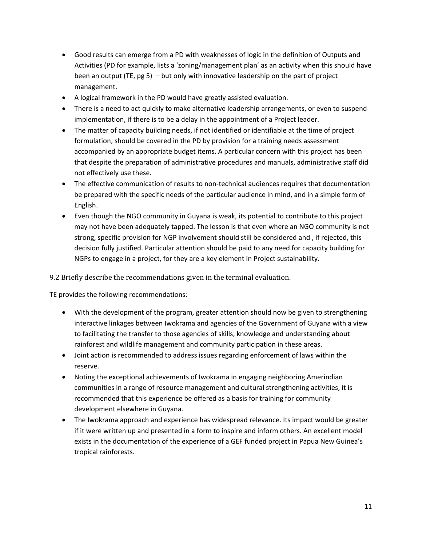- Good results can emerge from a PD with weaknesses of logic in the definition of Outputs and Activities (PD for example, lists a 'zoning/management plan' as an activity when this should have been an output (TE, pg 5) – but only with innovative leadership on the part of project management.
- A logical framework in the PD would have greatly assisted evaluation.
- There is a need to act quickly to make alternative leadership arrangements, or even to suspend implementation, if there is to be a delay in the appointment of a Project leader.
- The matter of capacity building needs, if not identified or identifiable at the time of project formulation, should be covered in the PD by provision for a training needs assessment accompanied by an appropriate budget items. A particular concern with this project has been that despite the preparation of administrative procedures and manuals, administrative staff did not effectively use these.
- The effective communication of results to non-technical audiences requires that documentation be prepared with the specific needs of the particular audience in mind, and in a simple form of English.
- Even though the NGO community in Guyana is weak, its potential to contribute to this project may not have been adequately tapped. The lesson is that even where an NGO community is not strong, specific provision for NGP involvement should still be considered and , if rejected, this decision fully justified. Particular attention should be paid to any need for capacity building for NGPs to engage in a project, for they are a key element in Project sustainability.

9.2 Briefly describe the recommendations given in the terminal evaluation.

TE provides the following recommendations:

- With the development of the program, greater attention should now be given to strengthening interactive linkages between Iwokrama and agencies of the Government of Guyana with a view to facilitating the transfer to those agencies of skills, knowledge and understanding about rainforest and wildlife management and community participation in these areas.
- Joint action is recommended to address issues regarding enforcement of laws within the reserve.
- Noting the exceptional achievements of Iwokrama in engaging neighboring Amerindian communities in a range of resource management and cultural strengthening activities, it is recommended that this experience be offered as a basis for training for community development elsewhere in Guyana.
- The Iwokrama approach and experience has widespread relevance. Its impact would be greater if it were written up and presented in a form to inspire and inform others. An excellent model exists in the documentation of the experience of a GEF funded project in Papua New Guinea's tropical rainforests.